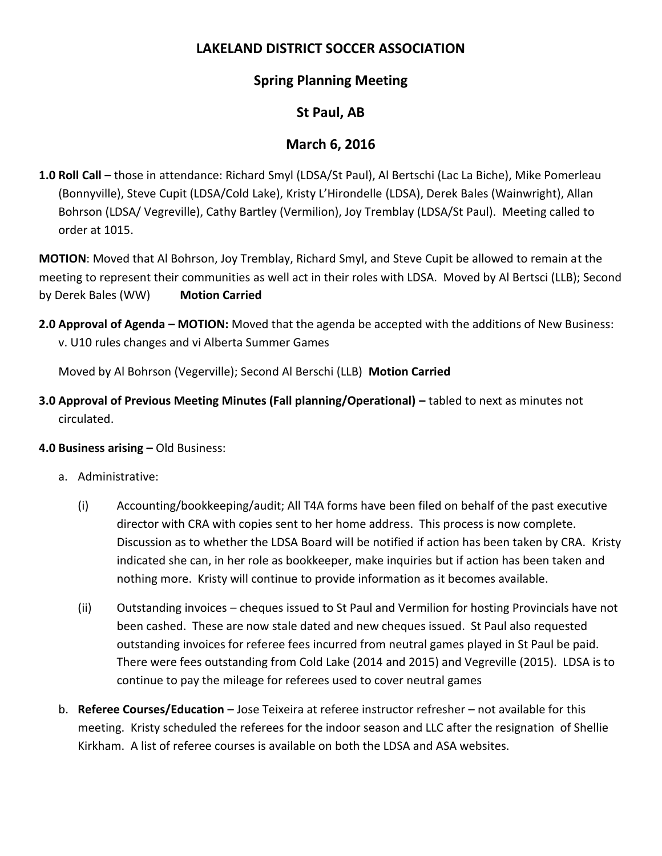# **LAKELAND DISTRICT SOCCER ASSOCIATION**

# **Spring Planning Meeting**

# **St Paul, AB**

# **March 6, 2016**

**1.0 Roll Call** – those in attendance: Richard Smyl (LDSA/St Paul), Al Bertschi (Lac La Biche), Mike Pomerleau (Bonnyville), Steve Cupit (LDSA/Cold Lake), Kristy L'Hirondelle (LDSA), Derek Bales (Wainwright), Allan Bohrson (LDSA/ Vegreville), Cathy Bartley (Vermilion), Joy Tremblay (LDSA/St Paul). Meeting called to order at 1015.

**MOTION**: Moved that Al Bohrson, Joy Tremblay, Richard Smyl, and Steve Cupit be allowed to remain at the meeting to represent their communities as well act in their roles with LDSA. Moved by Al Bertsci (LLB); Second by Derek Bales (WW) **Motion Carried**

**2.0 Approval of Agenda – MOTION:** Moved that the agenda be accepted with the additions of New Business: v. U10 rules changes and vi Alberta Summer Games

Moved by Al Bohrson (Vegerville); Second Al Berschi (LLB) **Motion Carried**

**3.0 Approval of Previous Meeting Minutes (Fall planning/Operational) –** tabled to next as minutes not circulated.

### **4.0 Business arising –** Old Business:

- a. Administrative:
	- (i) Accounting/bookkeeping/audit; All T4A forms have been filed on behalf of the past executive director with CRA with copies sent to her home address. This process is now complete. Discussion as to whether the LDSA Board will be notified if action has been taken by CRA. Kristy indicated she can, in her role as bookkeeper, make inquiries but if action has been taken and nothing more. Kristy will continue to provide information as it becomes available.
	- (ii) Outstanding invoices cheques issued to St Paul and Vermilion for hosting Provincials have not been cashed. These are now stale dated and new cheques issued. St Paul also requested outstanding invoices for referee fees incurred from neutral games played in St Paul be paid. There were fees outstanding from Cold Lake (2014 and 2015) and Vegreville (2015). LDSA is to continue to pay the mileage for referees used to cover neutral games
- b. **Referee Courses/Education** Jose Teixeira at referee instructor refresher not available for this meeting. Kristy scheduled the referees for the indoor season and LLC after the resignation of Shellie Kirkham. A list of referee courses is available on both the LDSA and ASA websites.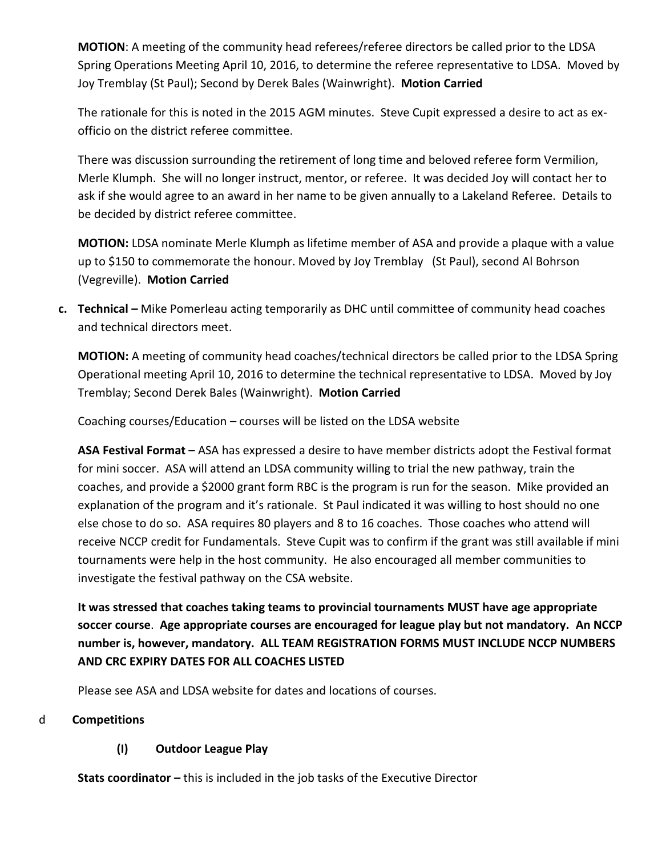**MOTION**: A meeting of the community head referees/referee directors be called prior to the LDSA Spring Operations Meeting April 10, 2016, to determine the referee representative to LDSA. Moved by Joy Tremblay (St Paul); Second by Derek Bales (Wainwright). **Motion Carried** 

The rationale for this is noted in the 2015 AGM minutes. Steve Cupit expressed a desire to act as exofficio on the district referee committee.

There was discussion surrounding the retirement of long time and beloved referee form Vermilion, Merle Klumph. She will no longer instruct, mentor, or referee. It was decided Joy will contact her to ask if she would agree to an award in her name to be given annually to a Lakeland Referee. Details to be decided by district referee committee.

**MOTION:** LDSA nominate Merle Klumph as lifetime member of ASA and provide a plaque with a value up to \$150 to commemorate the honour. Moved by Joy Tremblay (St Paul), second Al Bohrson (Vegreville). **Motion Carried**

**c. Technical –** Mike Pomerleau acting temporarily as DHC until committee of community head coaches and technical directors meet.

**MOTION:** A meeting of community head coaches/technical directors be called prior to the LDSA Spring Operational meeting April 10, 2016 to determine the technical representative to LDSA. Moved by Joy Tremblay; Second Derek Bales (Wainwright). **Motion Carried**

Coaching courses/Education – courses will be listed on the LDSA website

**ASA Festival Format** – ASA has expressed a desire to have member districts adopt the Festival format for mini soccer. ASA will attend an LDSA community willing to trial the new pathway, train the coaches, and provide a \$2000 grant form RBC is the program is run for the season. Mike provided an explanation of the program and it's rationale. St Paul indicated it was willing to host should no one else chose to do so. ASA requires 80 players and 8 to 16 coaches. Those coaches who attend will receive NCCP credit for Fundamentals. Steve Cupit was to confirm if the grant was still available if mini tournaments were help in the host community. He also encouraged all member communities to investigate the festival pathway on the CSA website.

**It was stressed that coaches taking teams to provincial tournaments MUST have age appropriate soccer course**. **Age appropriate courses are encouraged for league play but not mandatory. An NCCP number is, however, mandatory. ALL TEAM REGISTRATION FORMS MUST INCLUDE NCCP NUMBERS AND CRC EXPIRY DATES FOR ALL COACHES LISTED**

Please see ASA and LDSA website for dates and locations of courses.

## d **Competitions**

## **(I) Outdoor League Play**

**Stats coordinator –** this is included in the job tasks of the Executive Director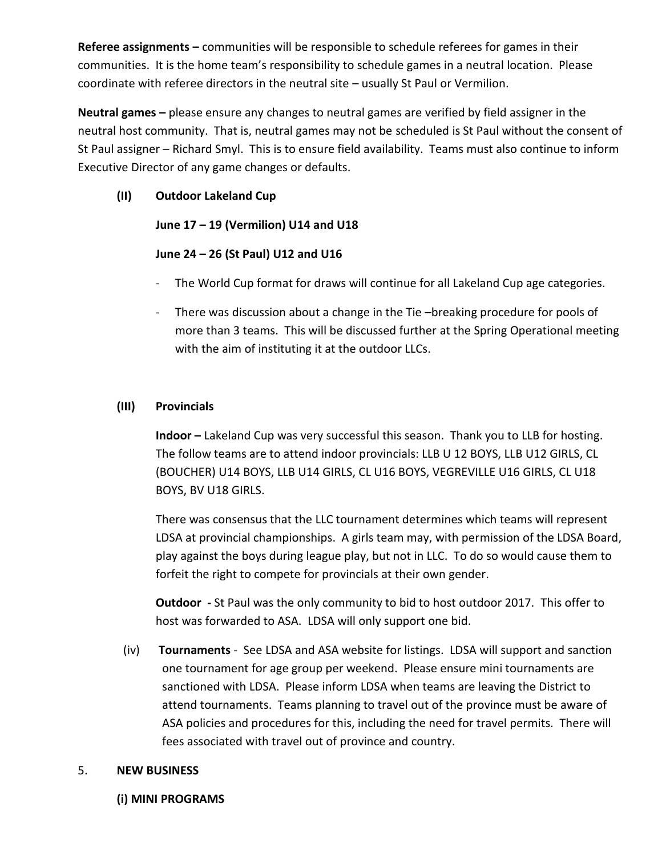**Referee assignments –** communities will be responsible to schedule referees for games in their communities. It is the home team's responsibility to schedule games in a neutral location. Please coordinate with referee directors in the neutral site – usually St Paul or Vermilion.

**Neutral games –** please ensure any changes to neutral games are verified by field assigner in the neutral host community. That is, neutral games may not be scheduled is St Paul without the consent of St Paul assigner – Richard Smyl. This is to ensure field availability. Teams must also continue to inform Executive Director of any game changes or defaults.

## **(II) Outdoor Lakeland Cup**

## **June 17 – 19 (Vermilion) U14 and U18**

## **June 24 – 26 (St Paul) U12 and U16**

- The World Cup format for draws will continue for all Lakeland Cup age categories.
- There was discussion about a change in the Tie-breaking procedure for pools of more than 3 teams. This will be discussed further at the Spring Operational meeting with the aim of instituting it at the outdoor LLCs.

## **(III) Provincials**

**Indoor –** Lakeland Cup was very successful this season. Thank you to LLB for hosting. The follow teams are to attend indoor provincials: LLB U 12 BOYS, LLB U12 GIRLS, CL (BOUCHER) U14 BOYS, LLB U14 GIRLS, CL U16 BOYS, VEGREVILLE U16 GIRLS, CL U18 BOYS, BV U18 GIRLS.

There was consensus that the LLC tournament determines which teams will represent LDSA at provincial championships. A girls team may, with permission of the LDSA Board, play against the boys during league play, but not in LLC. To do so would cause them to forfeit the right to compete for provincials at their own gender.

**Outdoor -** St Paul was the only community to bid to host outdoor 2017. This offer to host was forwarded to ASA. LDSA will only support one bid.

(iv) **Tournaments** - See LDSA and ASA website for listings. LDSA will support and sanction one tournament for age group per weekend. Please ensure mini tournaments are sanctioned with LDSA. Please inform LDSA when teams are leaving the District to attend tournaments. Teams planning to travel out of the province must be aware of ASA policies and procedures for this, including the need for travel permits. There will fees associated with travel out of province and country.

## 5. **NEW BUSINESS**

### **(i) MINI PROGRAMS**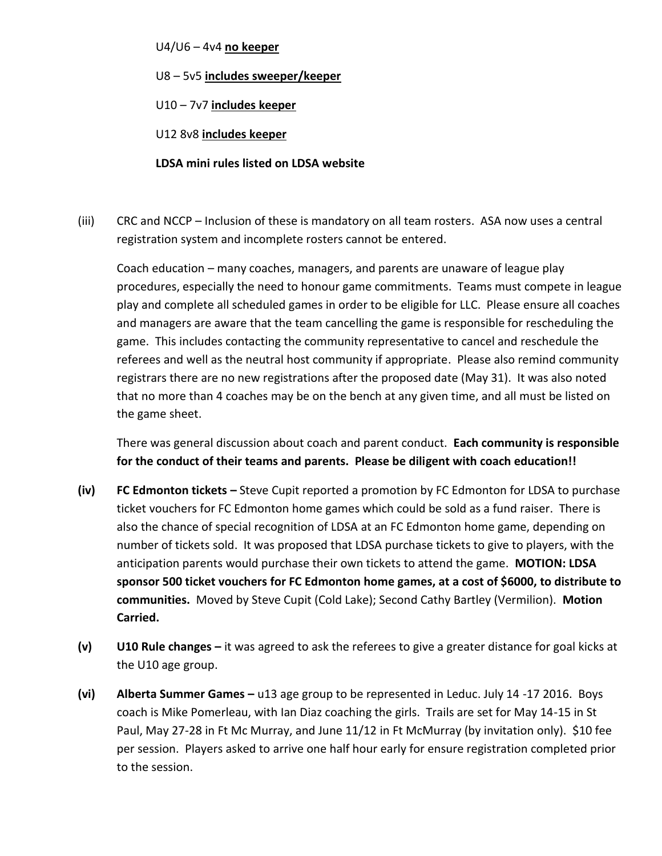#### U4/U6 – 4v4 **no keeper**

U8 – 5v5 **includes sweeper/keeper**

U10 – 7v7 **includes keeper**

U12 8v8 **includes keeper**

### **LDSA mini rules listed on LDSA website**

(iii) CRC and NCCP – Inclusion of these is mandatory on all team rosters. ASA now uses a central registration system and incomplete rosters cannot be entered.

Coach education – many coaches, managers, and parents are unaware of league play procedures, especially the need to honour game commitments. Teams must compete in league play and complete all scheduled games in order to be eligible for LLC. Please ensure all coaches and managers are aware that the team cancelling the game is responsible for rescheduling the game. This includes contacting the community representative to cancel and reschedule the referees and well as the neutral host community if appropriate. Please also remind community registrars there are no new registrations after the proposed date (May 31). It was also noted that no more than 4 coaches may be on the bench at any given time, and all must be listed on the game sheet.

There was general discussion about coach and parent conduct. **Each community is responsible for the conduct of their teams and parents. Please be diligent with coach education!!**

- **(iv) FC Edmonton tickets –** Steve Cupit reported a promotion by FC Edmonton for LDSA to purchase ticket vouchers for FC Edmonton home games which could be sold as a fund raiser. There is also the chance of special recognition of LDSA at an FC Edmonton home game, depending on number of tickets sold. It was proposed that LDSA purchase tickets to give to players, with the anticipation parents would purchase their own tickets to attend the game. **MOTION: LDSA sponsor 500 ticket vouchers for FC Edmonton home games, at a cost of \$6000, to distribute to communities.** Moved by Steve Cupit (Cold Lake); Second Cathy Bartley (Vermilion). **Motion Carried.**
- **(v) U10 Rule changes –** it was agreed to ask the referees to give a greater distance for goal kicks at the U10 age group.
- **(vi) Alberta Summer Games –** u13 age group to be represented in Leduc. July 14 -17 2016. Boys coach is Mike Pomerleau, with Ian Diaz coaching the girls. Trails are set for May 14-15 in St Paul, May 27-28 in Ft Mc Murray, and June 11/12 in Ft McMurray (by invitation only). \$10 fee per session. Players asked to arrive one half hour early for ensure registration completed prior to the session.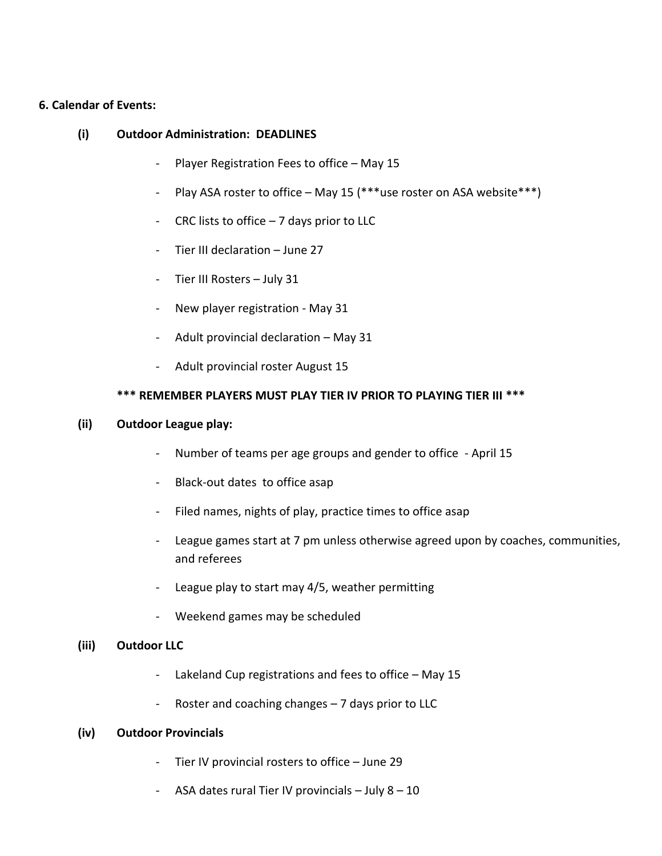#### **6. Calendar of Events:**

#### **(i) Outdoor Administration: DEADLINES**

- Player Registration Fees to office May 15
- Play ASA roster to office May 15 (\*\*\*use roster on ASA website\*\*\*)
- CRC lists to office  $-7$  days prior to LLC
- Tier III declaration June 27
- Tier III Rosters July 31
- New player registration May 31
- Adult provincial declaration May 31
- Adult provincial roster August 15

### **\*\*\* REMEMBER PLAYERS MUST PLAY TIER IV PRIOR TO PLAYING TIER III \*\*\***

#### **(ii) Outdoor League play:**

- Number of teams per age groups and gender to office April 15
- Black-out dates to office asap
- Filed names, nights of play, practice times to office asap
- League games start at 7 pm unless otherwise agreed upon by coaches, communities, and referees
- League play to start may 4/5, weather permitting
- Weekend games may be scheduled

### **(iii) Outdoor LLC**

- Lakeland Cup registrations and fees to office May 15
- Roster and coaching changes 7 days prior to LLC

### **(iv) Outdoor Provincials**

- Tier IV provincial rosters to office June 29
- ASA dates rural Tier IV provincials July 8 10